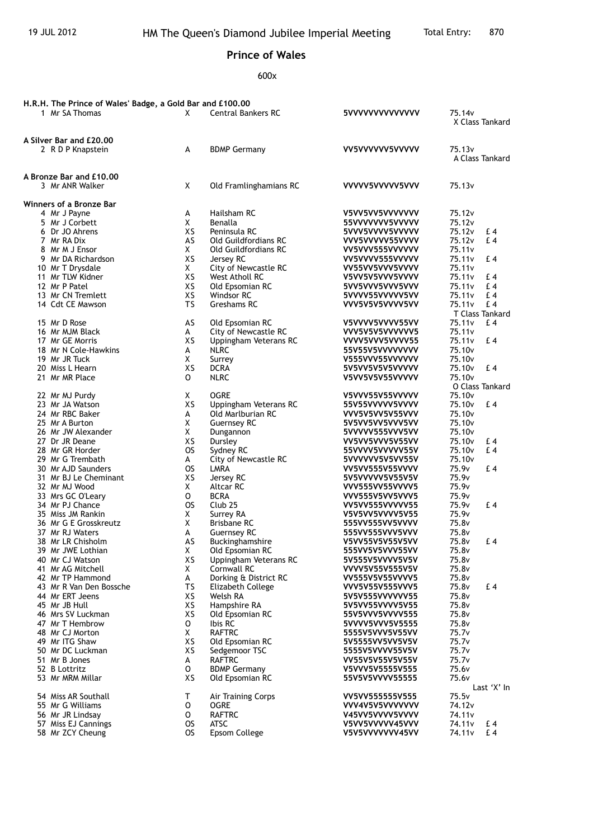## **Prince of Wales**

600x

| H.R.H. The Prince of Wales' Badge, a Gold Bar and £100.00 |                    |                                        |                                    |                                       |
|-----------------------------------------------------------|--------------------|----------------------------------------|------------------------------------|---------------------------------------|
| 1 Mr SA Thomas                                            | X                  | <b>Central Bankers RC</b>              | 5VVVVVVVVVVVVV                     | 75.14v                                |
|                                                           |                    |                                        |                                    | X Class Tankard                       |
|                                                           |                    |                                        |                                    |                                       |
| A Silver Bar and £20,00                                   |                    |                                        |                                    |                                       |
| 2 R D P Knapstein                                         | А                  | <b>BDMP Germany</b>                    | VV5VVVVVV5VVVVV                    | 75.13 <sub>v</sub>                    |
|                                                           |                    |                                        |                                    | A Class Tankard                       |
| A Bronze Bar and £10,00                                   |                    |                                        |                                    |                                       |
| 3 Mr ANR Walker                                           | X                  | Old Framlinghamians RC                 | VVVVV5VVVVV5VVV                    | 75.13v                                |
|                                                           |                    |                                        |                                    |                                       |
| Winners of a Bronze Bar                                   |                    |                                        |                                    |                                       |
| 4 Mr J Payne                                              | A                  | Hailsham RC                            | V5VV5VV5VVVVVVV                    | 75.12v                                |
| 5 Mr J Corbett                                            | X                  | Benalla                                | 55VVVVVVV5VVVVV                    | 75.12 <sub>v</sub>                    |
| 6 Dr JO Ahrens                                            | XS                 | Peninsula RC                           | 5VVV5VVVV5VVVVV                    | 75.12v<br>£ 4                         |
| 7 Mr RA Dix                                               | AS                 | Old Guildfordians RC                   | VVV5VVVVV55VVVV                    | £4<br>75.12 <sub>v</sub>              |
| 8 Mr M J Ensor                                            | X                  | Old Guildfordians RC                   | VV5VVV555VVVVVV                    | 75.11 <sub>v</sub>                    |
| 9 Mr DA Richardson                                        | XS<br>$\mathsf{X}$ | Jersey RC                              | VV5VVVV555VVVVV                    | 75.11v<br>£ 4                         |
| 10 Mr T Drysdale<br>11 Mr TLW Kidner                      | XS                 | City of Newcastle RC<br>West Atholl RC | VV55VV5VVV5VVVV<br>V5VV5V5VVV5VVVV | 75.11 <sub>v</sub><br>75.11v<br>£ 4   |
| 12 Mr P Patel                                             | XS                 | Old Epsomian RC                        | 5VV5VVV5VVV5VVV                    | £4<br>75.11v                          |
| 13 Mr CN Tremlett                                         | XS                 | Windsor RC                             | 5VVVV55VVVVV5VV                    | £4<br>75.11v                          |
| 14 Cdt CE Mawson                                          | TS                 | Greshams RC                            | VVV5V5V5VVVV5VV                    | £4<br>75.11v                          |
|                                                           |                    |                                        |                                    | T Class Tankard                       |
| 15 Mr D Rose                                              | AS                 | Old Epsomian RC                        | V5VVVV5VVVV55VV                    | 75.11 <sub>v</sub><br>£4              |
| 16 Mr MJM Black                                           | A                  | City of Newcastle RC                   | VVV5V5V5VVVVVV5                    | 75.11v                                |
| 17 Mr GE Morris                                           | XS                 | Uppingham Veterans RC                  | VVVV5VVV5VVVV55                    | 75.11v<br>£4                          |
| 18 Mr N Cole-Hawkins                                      | A                  | <b>NLRC</b>                            | 55V55V5VVVVVVVV                    | 75.10 <sub>v</sub>                    |
| 19 Mr JR Tuck                                             | X                  | Surrey                                 | V555VVV55VVVVVV                    | 75.10 <sub>v</sub>                    |
| 20 Miss L Hearn                                           | XS                 | <b>DCRA</b>                            | 5V5VV5V5V5VVVVV                    | £4<br>75.10v                          |
| 21 Mr MR Place                                            | 0                  | <b>NLRC</b>                            | V5VV5V5V55VVVVV                    | 75.10 <sub>v</sub><br>O Class Tankard |
| 22 Mr MJ Purdy                                            | X                  | <b>OGRE</b>                            | V5VVV55V55VVVVV                    | 75.10v                                |
| 23 Mr JA Watson                                           | XS                 | Uppingham Veterans RC                  | 55V55VVVVV5VVVV                    | 75.10 <sub>v</sub><br>$E_4$           |
| 24 Mr RBC Baker                                           | А                  | Old Marlburian RC                      | VVV5V5VV5V55VVV                    | 75.10 <sub>v</sub>                    |
| 25 Mr A Burton                                            | X                  | <b>Guernsey RC</b>                     | 5V5VV5VV5VVV5VV                    | 75.10 <sub>v</sub>                    |
| 26 Mr JW Alexander                                        | X                  | Dungannon                              | 5VVVVV555VVV5VV                    | 75.10v                                |
| 27 Dr JR Deane                                            | XS                 | Dursley                                | VV5VV5VVV5V55VV                    | 75.10 <sub>v</sub><br>£4              |
| 28 Mr GR Horder                                           | <b>OS</b>          | Sydney RC                              | 55VVVV5VVVVV55V                    | 75.10 <sub>v</sub><br>£4              |
| 29 Mr G Trembath                                          | A                  | City of Newcastle RC                   | 5VVVVVV5V5VV55V                    | 75.10v                                |
| 30 Mr AJD Saunders                                        | <b>OS</b>          | LMRA                                   | VV5VV555V55VVVV                    | £4<br>75.9v                           |
| 31 Mr BJ Le Cheminant                                     | XS                 | Jersey RC                              | 5V5VVVVV5V55V5V                    | 75.9v                                 |
| 32 Mr MJ Wood                                             | X.                 | Altcar RC                              | VVV555VV55VVVV5                    | 75.9v                                 |
| 33 Mrs GC O'Leary<br>34 Mr PJ Chance                      | $\mathsf{o}$<br>OS | <b>BCRA</b><br>Club <sub>25</sub>      | VVV555V5VV5VVV5<br>VV5VV555VVVVV55 | 75.9v<br>75.9 <sub>v</sub><br>£ 4     |
| 35 Miss JM Rankin                                         | X.                 | Surrey RA                              | V5V5VV5VVVV5V55                    | 75.9v                                 |
| 36 Mr G E Grosskreutz                                     | X                  | Brisbane RC                            | 555VV555VV5VVVV                    | 75.8v                                 |
| 37 Mr RJ Waters                                           | A                  | <b>Guernsey RC</b>                     | 555VV555VVV5VVV                    | 75.8v                                 |
| 38 Mr LR Chisholm                                         | AS                 | Buckinghamshire                        | V5VV55V5V55V5VV                    | 75.8v<br>£ 4                          |
| 39 Mr JWE Lothian                                         | X                  | Old Epsomian RC                        | 555VV5V5VVV55VV                    | 75.8v                                 |
| 40 Mr CJ Watson                                           | XS                 | Uppingham Veterans RC                  | 5V555V5VVVV5V5V                    | 75.8v                                 |
| 41 Mr AG Mitchell                                         | X                  | Cornwall RC                            | VVVV5V55V555V5V                    | 75.8v                                 |
| 42 Mr TP Hammond                                          | A                  | Dorking & District RC                  | VV555V5V55VVVV5                    | 75.8v                                 |
| 43 Mr R Van Den Bossche                                   | TS                 | Elizabeth College                      | VVV5V55V555VVV5                    | 75.8v<br>£4                           |
| 44 Mr ERT Jeens                                           | XS                 | Welsh RA                               | 5V5V555VVVVVV55                    | 75.8v                                 |
| 45 Mr JB Hull<br>46 Mrs SV Luckman                        | XS<br>XS           | Hampshire RA<br>Old Epsomian RC        | 5V5VV55VVVV5V55<br>55V5VVV5VVVV555 | 75.8v<br>75.8v                        |
| 47 Mr T Hembrow                                           | 0                  | Ibis RC                                | 5VVVV5VVV5V5555                    | 75.8v                                 |
| 48 Mr CJ Morton                                           | $\mathsf{X}$       | <b>RAFTRC</b>                          | 5555V5VVV5V55VV                    | 75.7v                                 |
| 49 Mr ITG Shaw                                            | XS                 | Old Epsomian RC                        | 5V5555VV5VV5V5V                    | 75.7v                                 |
| 50 Mr DC Luckman                                          | XS                 | Sedgemoor TSC                          | 5555V5VVVV55V5V                    | 75.7 <sub>v</sub>                     |
| 51 Mr B Jones                                             | A                  | <b>RAFTRC</b>                          | VV55V5V55V5V55V                    | 75.7v                                 |
| 52 B Lottritz                                             | 0                  | <b>BDMP Germany</b>                    | V5VVV5V5555V555                    | 75.6v                                 |
| 53 Mr MRM Millar                                          | XS                 | Old Epsomian RC                        | 55V5V5VVVV55555                    | 75.6v                                 |
|                                                           |                    |                                        |                                    | Last 'X' In                           |
| 54 Miss AR Southall                                       | Т                  | Air Training Corps                     | VV5VV555555V555                    | 75.5v                                 |
| 55 Mr G Williams                                          | 0                  | OGRE<br><b>RAFTRC</b>                  | VVV4V5V5VVVVVVV                    | 74.12v<br>74.11v                      |
| 56 Mr JR Lindsay<br>57 Miss EJ Cannings                   | 0<br>OS            | <b>ATSC</b>                            | V45VV5VVVV5VVVV<br>V5VV5VVVVV45VVV | 74.11v<br>£4                          |
| 58 Mr ZCY Cheung                                          | OS                 | Epsom College                          | V5V5VVVVVVV45VV                    | 74.11v<br>£ 4                         |
|                                                           |                    |                                        |                                    |                                       |